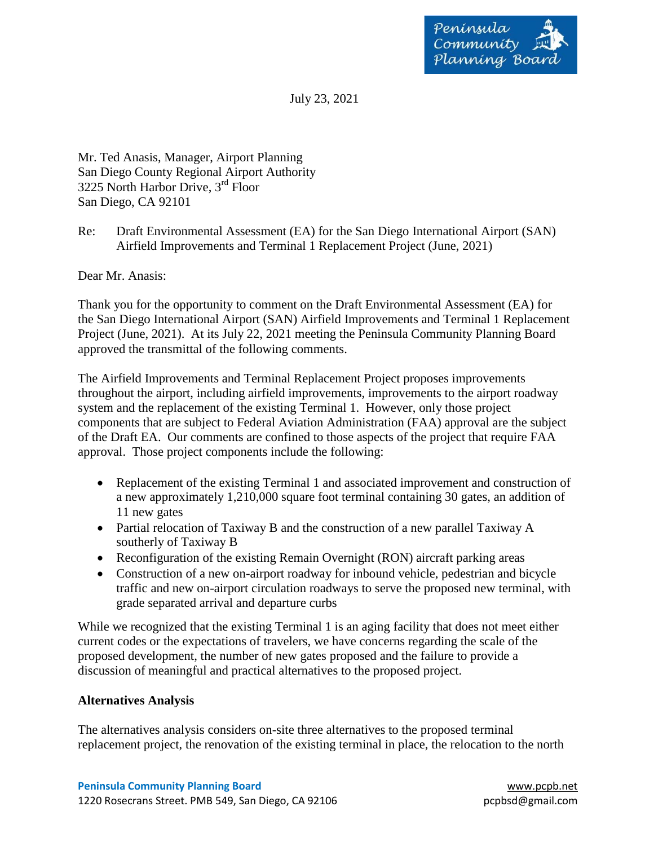

July 23, 2021

Mr. Ted Anasis, Manager, Airport Planning San Diego County Regional Airport Authority 3225 North Harbor Drive, 3rd Floor San Diego, CA 92101

Re: Draft Environmental Assessment (EA) for the San Diego International Airport (SAN) Airfield Improvements and Terminal 1 Replacement Project (June, 2021)

Dear Mr. Anasis:

Thank you for the opportunity to comment on the Draft Environmental Assessment (EA) for the San Diego International Airport (SAN) Airfield Improvements and Terminal 1 Replacement Project (June, 2021). At its July 22, 2021 meeting the Peninsula Community Planning Board approved the transmittal of the following comments.

The Airfield Improvements and Terminal Replacement Project proposes improvements throughout the airport, including airfield improvements, improvements to the airport roadway system and the replacement of the existing Terminal 1. However, only those project components that are subject to Federal Aviation Administration (FAA) approval are the subject of the Draft EA. Our comments are confined to those aspects of the project that require FAA approval. Those project components include the following:

- Replacement of the existing Terminal 1 and associated improvement and construction of a new approximately 1,210,000 square foot terminal containing 30 gates, an addition of 11 new gates
- Partial relocation of Taxiway B and the construction of a new parallel Taxiway A southerly of Taxiway B
- Reconfiguration of the existing Remain Overnight (RON) aircraft parking areas
- Construction of a new on-airport roadway for inbound vehicle, pedestrian and bicycle traffic and new on-airport circulation roadways to serve the proposed new terminal, with grade separated arrival and departure curbs

While we recognized that the existing Terminal 1 is an aging facility that does not meet either current codes or the expectations of travelers, we have concerns regarding the scale of the proposed development, the number of new gates proposed and the failure to provide a discussion of meaningful and practical alternatives to the proposed project.

## **Alternatives Analysis**

The alternatives analysis considers on-site three alternatives to the proposed terminal replacement project, the renovation of the existing terminal in place, the relocation to the north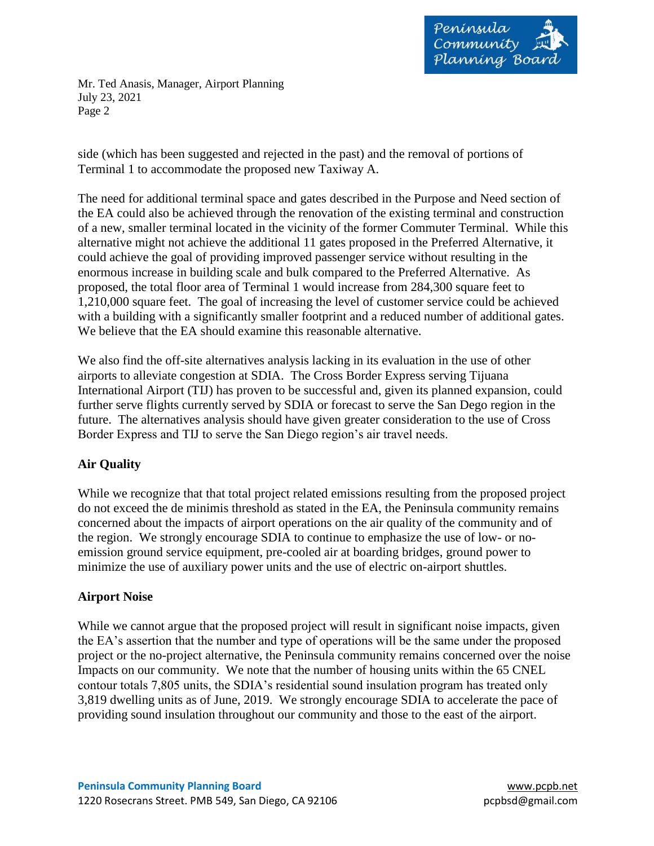

Mr. Ted Anasis, Manager, Airport Planning July 23, 2021 Page 2

side (which has been suggested and rejected in the past) and the removal of portions of Terminal 1 to accommodate the proposed new Taxiway A.

The need for additional terminal space and gates described in the Purpose and Need section of the EA could also be achieved through the renovation of the existing terminal and construction of a new, smaller terminal located in the vicinity of the former Commuter Terminal. While this alternative might not achieve the additional 11 gates proposed in the Preferred Alternative, it could achieve the goal of providing improved passenger service without resulting in the enormous increase in building scale and bulk compared to the Preferred Alternative. As proposed, the total floor area of Terminal 1 would increase from 284,300 square feet to 1,210,000 square feet. The goal of increasing the level of customer service could be achieved with a building with a significantly smaller footprint and a reduced number of additional gates. We believe that the EA should examine this reasonable alternative.

We also find the off-site alternatives analysis lacking in its evaluation in the use of other airports to alleviate congestion at SDIA. The Cross Border Express serving Tijuana International Airport (TIJ) has proven to be successful and, given its planned expansion, could further serve flights currently served by SDIA or forecast to serve the San Dego region in the future. The alternatives analysis should have given greater consideration to the use of Cross Border Express and TIJ to serve the San Diego region's air travel needs.

## **Air Quality**

While we recognize that that total project related emissions resulting from the proposed project do not exceed the de minimis threshold as stated in the EA, the Peninsula community remains concerned about the impacts of airport operations on the air quality of the community and of the region. We strongly encourage SDIA to continue to emphasize the use of low- or noemission ground service equipment, pre-cooled air at boarding bridges, ground power to minimize the use of auxiliary power units and the use of electric on-airport shuttles.

## **Airport Noise**

While we cannot argue that the proposed project will result in significant noise impacts, given the EA's assertion that the number and type of operations will be the same under the proposed project or the no-project alternative, the Peninsula community remains concerned over the noise Impacts on our community. We note that the number of housing units within the 65 CNEL contour totals 7,805 units, the SDIA's residential sound insulation program has treated only 3,819 dwelling units as of June, 2019. We strongly encourage SDIA to accelerate the pace of providing sound insulation throughout our community and those to the east of the airport.